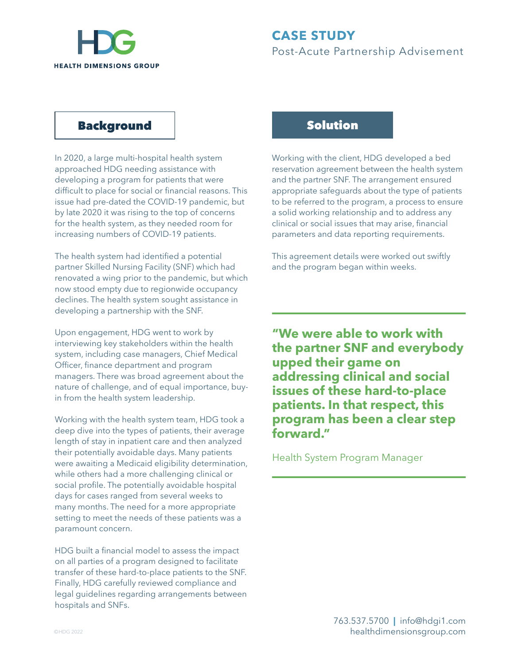

## Background

In 2020, a large multi-hospital health system approached HDG needing assistance with developing a program for patients that were difficult to place for social or financial reasons. This issue had pre-dated the COVID-19 pandemic, but by late 2020 it was rising to the top of concerns for the health system, as they needed room for increasing numbers of COVID-19 patients.

The health system had identified a potential partner Skilled Nursing Facility (SNF) which had renovated a wing prior to the pandemic, but which now stood empty due to regionwide occupancy declines. The health system sought assistance in developing a partnership with the SNF.

Upon engagement, HDG went to work by interviewing key stakeholders within the health system, including case managers, Chief Medical Officer, finance department and program managers. There was broad agreement about the nature of challenge, and of equal importance, buyin from the health system leadership.

Working with the health system team, HDG took a deep dive into the types of patients, their average length of stay in inpatient care and then analyzed their potentially avoidable days. Many patients were awaiting a Medicaid eligibility determination, while others had a more challenging clinical or social profile. The potentially avoidable hospital days for cases ranged from several weeks to many months. The need for a more appropriate setting to meet the needs of these patients was a paramount concern.

HDG built a financial model to assess the impact on all parties of a program designed to facilitate transfer of these hard-to-place patients to the SNF. Finally, HDG carefully reviewed compliance and legal guidelines regarding arrangements between hospitals and SNFs.

# Solution

Working with the client, HDG developed a bed reservation agreement between the health system and the partner SNF. The arrangement ensured appropriate safeguards about the type of patients to be referred to the program, a process to ensure a solid working relationship and to address any clinical or social issues that may arise, financial parameters and data reporting requirements.

This agreement details were worked out swiftly and the program began within weeks.

**"We were able to work with the partner SNF and everybody upped their game on addressing clinical and social issues of these hard-to-place patients. In that respect, this program has been a clear step forward."**

Health System Program Manager